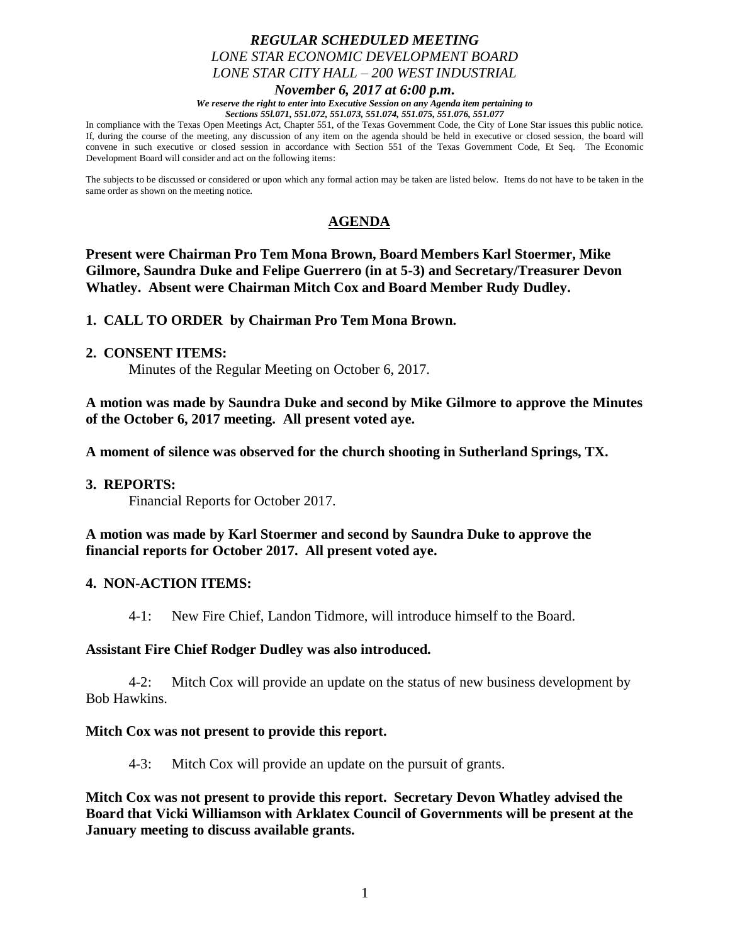# *REGULAR SCHEDULED MEETING LONE STAR ECONOMIC DEVELOPMENT BOARD LONE STAR CITY HALL – 200 WEST INDUSTRIAL*

*November 6, 2017 at 6:00 p.m.*

*We reserve the right to enter into Executive Session on any Agenda item pertaining to Sections 55l.071, 551.072, 551.073, 551.074, 551.075, 551.076, 551.077*

In compliance with the Texas Open Meetings Act, Chapter 551, of the Texas Government Code, the City of Lone Star issues this public notice. If, during the course of the meeting, any discussion of any item on the agenda should be held in executive or closed session, the board will convene in such executive or closed session in accordance with Section 551 of the Texas Government Code, Et Seq. The Economic Development Board will consider and act on the following items:

The subjects to be discussed or considered or upon which any formal action may be taken are listed below. Items do not have to be taken in the same order as shown on the meeting notice.

# **AGENDA**

**Present were Chairman Pro Tem Mona Brown, Board Members Karl Stoermer, Mike Gilmore, Saundra Duke and Felipe Guerrero (in at 5-3) and Secretary/Treasurer Devon Whatley. Absent were Chairman Mitch Cox and Board Member Rudy Dudley.**

**1. CALL TO ORDER by Chairman Pro Tem Mona Brown.**

**2. CONSENT ITEMS:**

Minutes of the Regular Meeting on October 6, 2017.

**A motion was made by Saundra Duke and second by Mike Gilmore to approve the Minutes of the October 6, 2017 meeting. All present voted aye.**

**A moment of silence was observed for the church shooting in Sutherland Springs, TX.**

#### **3. REPORTS:**

Financial Reports for October 2017.

**A motion was made by Karl Stoermer and second by Saundra Duke to approve the financial reports for October 2017. All present voted aye.**

#### **4. NON-ACTION ITEMS:**

4-1: New Fire Chief, Landon Tidmore, will introduce himself to the Board.

#### **Assistant Fire Chief Rodger Dudley was also introduced.**

4-2: Mitch Cox will provide an update on the status of new business development by Bob Hawkins.

#### **Mitch Cox was not present to provide this report.**

4-3: Mitch Cox will provide an update on the pursuit of grants.

**Mitch Cox was not present to provide this report. Secretary Devon Whatley advised the Board that Vicki Williamson with Arklatex Council of Governments will be present at the January meeting to discuss available grants.**